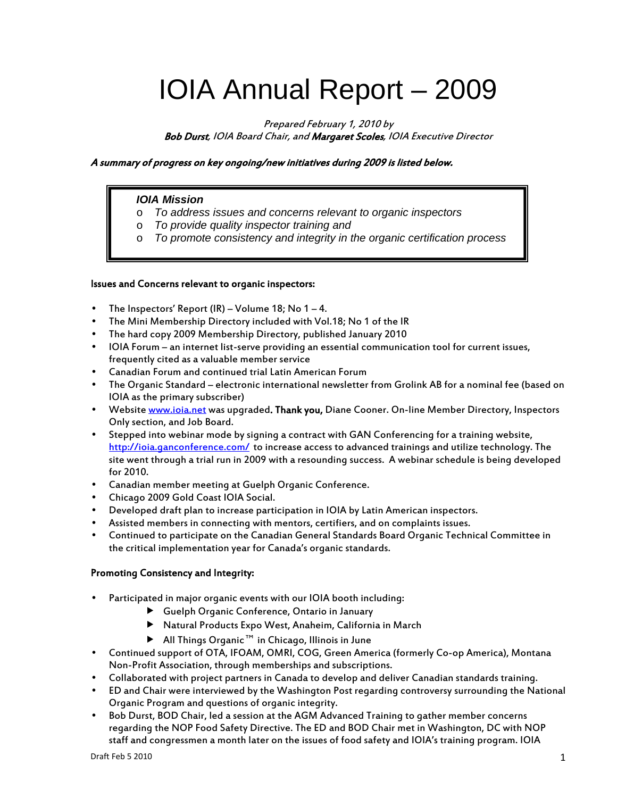# IOIA Annual Report – 2009

Prepared February 1, 2010 by Bob Durst, IOIA Board Chair, and Margaret Scoles, IOIA Executive Director

### A summary of progress on key ongoing/new initiatives during 2009 is listed below.

### *IOIA Mission*

- o *To address issues and concerns relevant to organic inspectors*
- o *To provide quality inspector training and*
- o *To promote consistency and integrity in the organic certification process*

#### Issues and Concerns relevant to organic inspectors:

- The Inspectors' Report (IR) Volume 18; No  $1-4$ .
- The Mini Membership Directory included with Vol.18; No 1 of the IR
- The hard copy 2009 Membership Directory, published January 2010
- IOIA Forum an internet list-serve providing an essential communication tool for current issues, frequently cited as a valuable member service
- Canadian Forum and continued trial Latin American Forum
- The Organic Standard electronic international newsletter from Grolink AB for a nominal fee (based on IOIA as the primary subscriber)
- Website www.ioia.net was upgraded. Thank you, Diane Cooner. On-line Member Directory, Inspectors Only section, and Job Board.
- Stepped into webinar mode by signing a contract with GAN Conferencing for a training website, http://ioia.ganconference.com/ to increase access to advanced trainings and utilize technology. The site went through a trial run in 2009 with a resounding success. A webinar schedule is being developed for 2010.
- Canadian member meeting at Guelph Organic Conference.
- Chicago 2009 Gold Coast IOIA Social.
- Developed draft plan to increase participation in IOIA by Latin American inspectors.
- Assisted members in connecting with mentors, certifiers, and on complaints issues.
- Continued to participate on the Canadian General Standards Board Organic Technical Committee in the critical implementation year for Canada's organic standards.

### Promoting Consistency and Integrity:

- Participated in major organic events with our IOIA booth including:
	- Guelph Organic Conference, Ontario in January
	- Natural Products Expo West, Anaheim, California in March
	- All Things Organic™ in Chicago, Illinois in June
- Continued support of OTA, IFOAM, OMRI, COG, Green America (formerly Co-op America), Montana Non-Profit Association, through memberships and subscriptions.
- Collaborated with project partners in Canada to develop and deliver Canadian standards training.
- ED and Chair were interviewed by the Washington Post regarding controversy surrounding the National Organic Program and questions of organic integrity.
- Bob Durst, BOD Chair, led a session at the AGM Advanced Training to gather member concerns regarding the NOP Food Safety Directive. The ED and BOD Chair met in Washington, DC with NOP staff and congressmen a month later on the issues of food safety and IOIA's training program. IOIA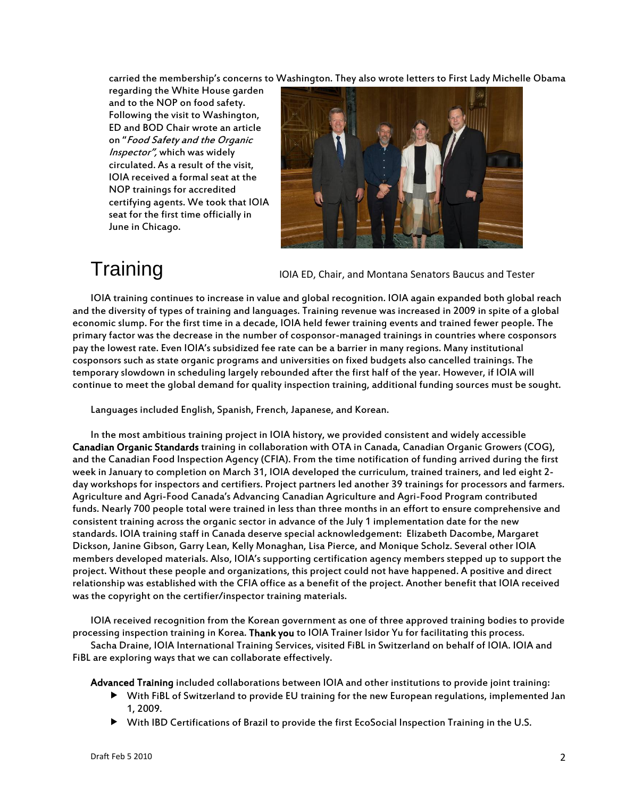carried the membership's concerns to Washington. They also wrote letters to First Lady Michelle Obama

regarding the White House garden and to the NOP on food safety. Following the visit to Washington, ED and BOD Chair wrote an article on "Food Safety and the Organic Inspector", which was widely circulated. As a result of the visit, IOIA received a formal seat at the NOP trainings for accredited certifying agents. We took that IOIA seat for the first time officially in June in Chicago.



## **Training**

IOIA ED, Chair, and Montana Senators Baucus and Tester

IOIA training continues to increase in value and global recognition. IOIA again expanded both global reach and the diversity of types of training and languages. Training revenue was increased in 2009 in spite of a global economic slump. For the first time in a decade, IOIA held fewer training events and trained fewer people. The primary factor was the decrease in the number of cosponsor-managed trainings in countries where cosponsors pay the lowest rate. Even IOIA's subsidized fee rate can be a barrier in many regions. Many institutional cosponsors such as state organic programs and universities on fixed budgets also cancelled trainings. The temporary slowdown in scheduling largely rebounded after the first half of the year. However, if IOIA will continue to meet the global demand for quality inspection training, additional funding sources must be sought.

Languages included English, Spanish, French, Japanese, and Korean.

In the most ambitious training project in IOIA history, we provided consistent and widely accessible Canadian Organic Standards training in collaboration with OTA in Canada, Canadian Organic Growers (COG), and the Canadian Food Inspection Agency (CFIA). From the time notification of funding arrived during the first week in January to completion on March 31, IOIA developed the curriculum, trained trainers, and led eight 2 day workshops for inspectors and certifiers. Project partners led another 39 trainings for processors and farmers. Agriculture and Agri-Food Canada's Advancing Canadian Agriculture and Agri-Food Program contributed funds. Nearly 700 people total were trained in less than three months in an effort to ensure comprehensive and consistent training across the organic sector in advance of the July 1 implementation date for the new standards. IOIA training staff in Canada deserve special acknowledgement: Elizabeth Dacombe, Margaret Dickson, Janine Gibson, Garry Lean, Kelly Monaghan, Lisa Pierce, and Monique Scholz. Several other IOIA members developed materials. Also, IOIA's supporting certification agency members stepped up to support the project. Without these people and organizations, this project could not have happened. A positive and direct relationship was established with the CFIA office as a benefit of the project. Another benefit that IOIA received was the copyright on the certifier/inspector training materials.

IOIA received recognition from the Korean government as one of three approved training bodies to provide processing inspection training in Korea. Thank you to IOIA Trainer Isidor Yu for facilitating this process.

Sacha Draine, IOIA International Training Services, visited FiBL in Switzerland on behalf of IOIA. IOIA and FiBL are exploring ways that we can collaborate effectively.

Advanced Training included collaborations between IOIA and other institutions to provide joint training:

- With FiBL of Switzerland to provide EU training for the new European regulations, implemented Jan 1, 2009.
- With IBD Certifications of Brazil to provide the first EcoSocial Inspection Training in the U.S.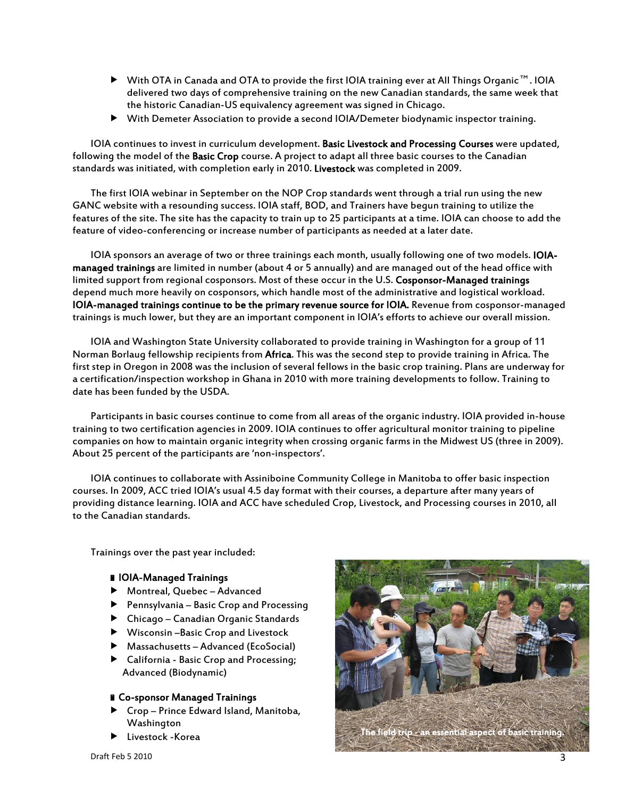- With OTA in Canada and OTA to provide the first IOIA training ever at All Things Organic™. IOIA delivered two days of comprehensive training on the new Canadian standards, the same week that the historic Canadian-US equivalency agreement was signed in Chicago.
- With Demeter Association to provide a second IOIA/Demeter biodynamic inspector training.

IOIA continues to invest in curriculum development. Basic Livestock and Processing Courses were updated, following the model of the Basic Crop course. A project to adapt all three basic courses to the Canadian standards was initiated, with completion early in 2010. Livestock was completed in 2009.

The first IOIA webinar in September on the NOP Crop standards went through a trial run using the new GANC website with a resounding success. IOIA staff, BOD, and Trainers have begun training to utilize the features of the site. The site has the capacity to train up to 25 participants at a time. IOIA can choose to add the feature of video-conferencing or increase number of participants as needed at a later date.

IOIA sponsors an average of two or three trainings each month, usually following one of two models. IOIAmanaged trainings are limited in number (about 4 or 5 annually) and are managed out of the head office with limited support from regional cosponsors. Most of these occur in the U.S. Cosponsor-Managed trainings depend much more heavily on cosponsors, which handle most of the administrative and logistical workload. IOIA-managed trainings continue to be the primary revenue source for IOIA. Revenue from cosponsor-managed trainings is much lower, but they are an important component in IOIA's efforts to achieve our overall mission.

IOIA and Washington State University collaborated to provide training in Washington for a group of 11 Norman Borlaug fellowship recipients from Africa. This was the second step to provide training in Africa. The first step in Oregon in 2008 was the inclusion of several fellows in the basic crop training. Plans are underway for a certification/inspection workshop in Ghana in 2010 with more training developments to follow. Training to date has been funded by the USDA.

Participants in basic courses continue to come from all areas of the organic industry. IOIA provided in-house training to two certification agencies in 2009. IOIA continues to offer agricultural monitor training to pipeline companies on how to maintain organic integrity when crossing organic farms in the Midwest US (three in 2009). About 25 percent of the participants are 'non-inspectors'.

IOIA continues to collaborate with Assiniboine Community College in Manitoba to offer basic inspection courses. In 2009, ACC tried IOIA's usual 4.5 day format with their courses, a departure after many years of providing distance learning. IOIA and ACC have scheduled Crop, Livestock, and Processing courses in 2010, all to the Canadian standards.

Trainings over the past year included:

#### IOIA-Managed Trainings

- Montreal, Quebec Advanced
- Pennsylvania Basic Crop and Processing
- Chicago Canadian Organic Standards
- Wisconsin –Basic Crop and Livestock
- Massachusetts Advanced (EcoSocial)
- California Basic Crop and Processing; Advanced (Biodynamic)

### Co-sponsor Managed Trainings

- Crop Prince Edward Island, Manitoba, Washington
- 

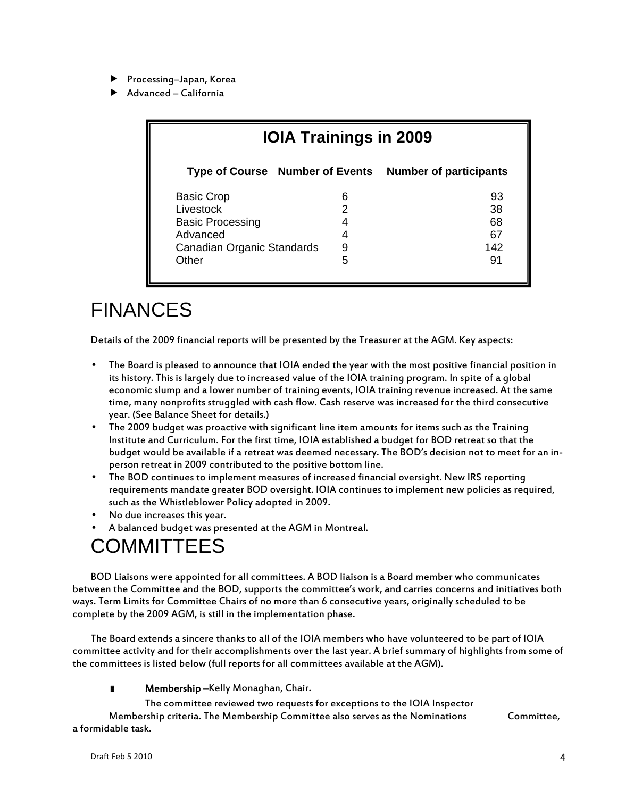- ▶ Processing–Japan, Korea
- Advanced California

| <b>IOIA Trainings in 2009</b>          |   |                               |
|----------------------------------------|---|-------------------------------|
| <b>Type of Course</b> Number of Events |   | <b>Number of participants</b> |
| <b>Basic Crop</b>                      | 6 | 93                            |
| Livestock                              | 2 | 38                            |
| <b>Basic Processing</b>                | 4 | 68                            |
| Advanced                               | 4 | 67                            |
| Canadian Organic Standards             | 9 | 142                           |
| Other                                  | 5 | 91                            |

### FINANCES

Details of the 2009 financial reports will be presented by the Treasurer at the AGM. Key aspects:

- The Board is pleased to announce that IOIA ended the year with the most positive financial position in its history. This is largely due to increased value of the IOIA training program. In spite of a global economic slump and a lower number of training events, IOIA training revenue increased. At the same time, many nonprofits struggled with cash flow. Cash reserve was increased for the third consecutive year. (See Balance Sheet for details.)
- The 2009 budget was proactive with significant line item amounts for items such as the Training Institute and Curriculum. For the first time, IOIA established a budget for BOD retreat so that the budget would be available if a retreat was deemed necessary. The BOD's decision not to meet for an inperson retreat in 2009 contributed to the positive bottom line.
- The BOD continues to implement measures of increased financial oversight. New IRS reporting requirements mandate greater BOD oversight. IOIA continues to implement new policies as required, such as the Whistleblower Policy adopted in 2009.
- No due increases this year.
- A balanced budget was presented at the AGM in Montreal.

### COMMITTEES

BOD Liaisons were appointed for all committees. A BOD liaison is a Board member who communicates between the Committee and the BOD, supports the committee's work, and carries concerns and initiatives both ways. Term Limits for Committee Chairs of no more than 6 consecutive years, originally scheduled to be complete by the 2009 AGM, is still in the implementation phase.

The Board extends a sincere thanks to all of the IOIA members who have volunteered to be part of IOIA committee activity and for their accomplishments over the last year. A brief summary of highlights from some of the committees is listed below (full reports for all committees available at the AGM).

**Nembership –**Kelly Monaghan, Chair.

 The committee reviewed two requests for exceptions to the IOIA Inspector Membership criteria. The Membership Committee also serves as the Nominations Committee, a formidable task.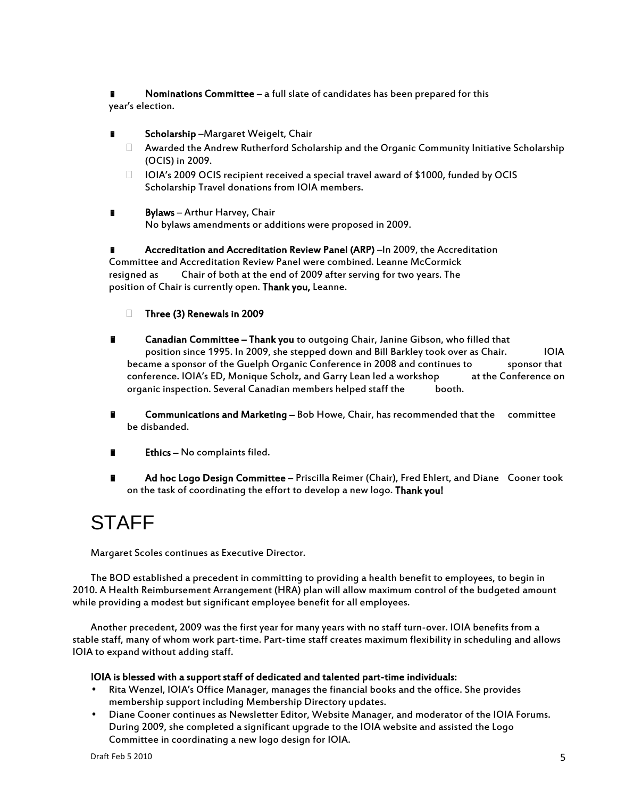Nominations Committee – a full slate of candidates has been prepared for this year's election.

- Scholarship –Margaret Weigelt, Chair
	- Awarded the Andrew Rutherford Scholarship and the Organic Community Initiative Scholarship (OCIS) in 2009.
	- $\Box$  IOIA's 2009 OCIS recipient received a special travel award of \$1000, funded by OCIS Scholarship Travel donations from IOIA members.
- Bylaws Arthur Harvey, Chair No bylaws amendments or additions were proposed in 2009.

 Accreditation and Accreditation Review Panel (ARP) –In 2009, the Accreditation Committee and Accreditation Review Panel were combined. Leanne McCormick resigned as Chair of both at the end of 2009 after serving for two years. The position of Chair is currently open. Thank you, Leanne.

- Three (3) Renewals in 2009
- **E** Canadian Committee Thank you to outgoing Chair, Janine Gibson, who filled that position since 1995. In 2009, she stepped down and Bill Barkley took over as Chair. IOIA became a sponsor of the Guelph Organic Conference in 2008 and continues to sponsor that conference. IOIA's ED, Monique Scholz, and Garry Lean led a workshop at the Conference on organic inspection. Several Canadian members helped staff the booth.
- **E** Communications and Marketing Bob Howe, Chair, has recommended that the committee be disbanded.
- Ethics No complaints filed.
- Ad hoc Logo Design Committee Priscilla Reimer (Chair), Fred Ehlert, and Diane Cooner took on the task of coordinating the effort to develop a new logo. Thank you!

### STAFF

Margaret Scoles continues as Executive Director.

The BOD established a precedent in committing to providing a health benefit to employees, to begin in 2010. A Health Reimbursement Arrangement (HRA) plan will allow maximum control of the budgeted amount while providing a modest but significant employee benefit for all employees.

Another precedent, 2009 was the first year for many years with no staff turn-over. IOIA benefits from a stable staff, many of whom work part-time. Part-time staff creates maximum flexibility in scheduling and allows IOIA to expand without adding staff.

### IOIA is blessed with a support staff of dedicated and talented part-time individuals:

- Rita Wenzel, IOIA's Office Manager, manages the financial books and the office. She provides membership support including Membership Directory updates.
- Diane Cooner continues as Newsletter Editor, Website Manager, and moderator of the IOIA Forums. During 2009, she completed a significant upgrade to the IOIA website and assisted the Logo Committee in coordinating a new logo design for IOIA.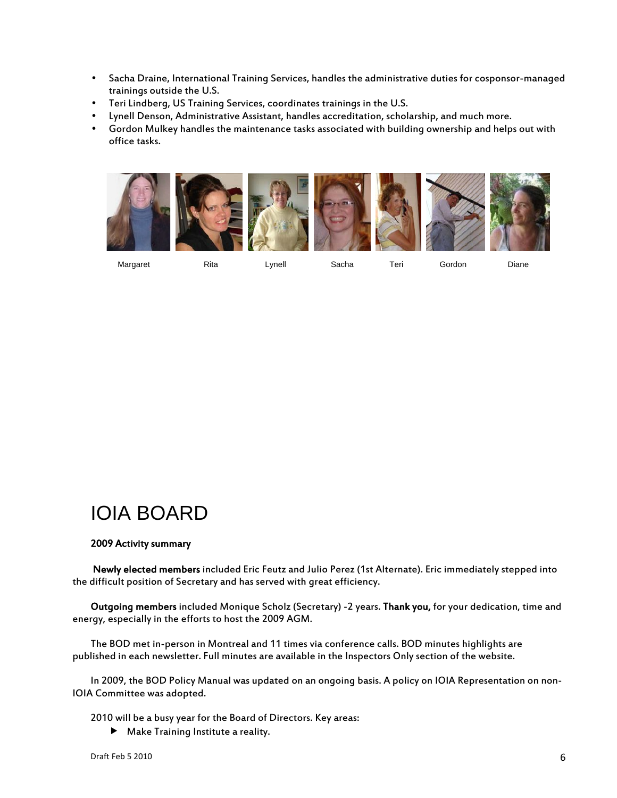- Sacha Draine, International Training Services, handles the administrative duties for cosponsor-managed trainings outside the U.S.
- Teri Lindberg, US Training Services, coordinates trainings in the U.S.
- Lynell Denson, Administrative Assistant, handles accreditation, scholarship, and much more.
- Gordon Mulkey handles the maintenance tasks associated with building ownership and helps out with office tasks.



Margaret Rita Lynell Sacha Teri Gordon Diane

### IOIA BOARD

### 2009 Activity summary

 Newly elected members included Eric Feutz and Julio Perez (1st Alternate). Eric immediately stepped into the difficult position of Secretary and has served with great efficiency.

Outgoing members included Monique Scholz (Secretary) -2 years. Thank you, for your dedication, time and energy, especially in the efforts to host the 2009 AGM.

The BOD met in-person in Montreal and 11 times via conference calls. BOD minutes highlights are published in each newsletter. Full minutes are available in the Inspectors Only section of the website.

In 2009, the BOD Policy Manual was updated on an ongoing basis. A policy on IOIA Representation on non-IOIA Committee was adopted.

2010 will be a busy year for the Board of Directors. Key areas:

Make Training Institute a reality.